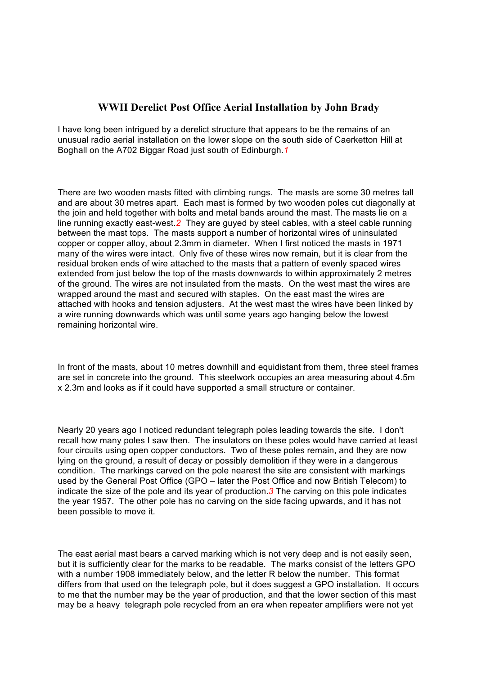## **WWII Derelict Post Office Aerial Installation by John Brady**

I have long been intrigued by a derelict structure that appears to be the remains of an unusual radio aerial installation on the lower slope on the south side of Caerketton Hill at Boghall on the A702 Biggar Road just south of Edinburgh.*1*

There are two wooden masts fitted with climbing rungs. The masts are some 30 metres tall and are about 30 metres apart. Each mast is formed by two wooden poles cut diagonally at the join and held together with bolts and metal bands around the mast. The masts lie on a line running exactly east-west.*2* They are guyed by steel cables, with a steel cable running between the mast tops. The masts support a number of horizontal wires of uninsulated copper or copper alloy, about 2.3mm in diameter. When I first noticed the masts in 1971 many of the wires were intact. Only five of these wires now remain, but it is clear from the residual broken ends of wire attached to the masts that a pattern of evenly spaced wires extended from just below the top of the masts downwards to within approximately 2 metres of the ground. The wires are not insulated from the masts. On the west mast the wires are wrapped around the mast and secured with staples. On the east mast the wires are attached with hooks and tension adjusters. At the west mast the wires have been linked by a wire running downwards which was until some years ago hanging below the lowest remaining horizontal wire.

In front of the masts, about 10 metres downhill and equidistant from them, three steel frames are set in concrete into the ground. This steelwork occupies an area measuring about 4.5m x 2.3m and looks as if it could have supported a small structure or container.

Nearly 20 years ago I noticed redundant telegraph poles leading towards the site. I don't recall how many poles I saw then. The insulators on these poles would have carried at least four circuits using open copper conductors. Two of these poles remain, and they are now lying on the ground, a result of decay or possibly demolition if they were in a dangerous condition. The markings carved on the pole nearest the site are consistent with markings used by the General Post Office (GPO – later the Post Office and now British Telecom) to indicate the size of the pole and its year of production.*3* The carving on this pole indicates the year 1957. The other pole has no carving on the side facing upwards, and it has not been possible to move it.

The east aerial mast bears a carved marking which is not very deep and is not easily seen, but it is sufficiently clear for the marks to be readable. The marks consist of the letters GPO with a number 1908 immediately below, and the letter R below the number. This format differs from that used on the telegraph pole, but it does suggest a GPO installation. It occurs to me that the number may be the year of production, and that the lower section of this mast may be a heavy telegraph pole recycled from an era when repeater amplifiers were not yet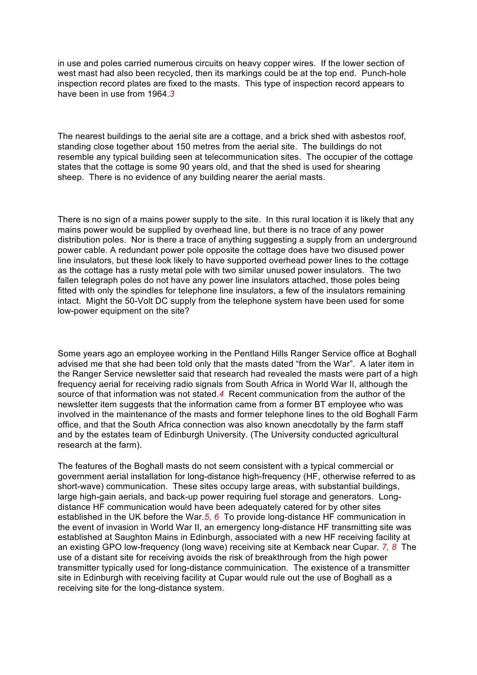in use and poles carried numerous circuits on heavy copper wires. If the lower section of west mast had also been recycled, then its markings could be at the top end. Punch-hole inspection record plates are fixed to the masts. This type of inspection record appears to have been in use from 1964.*3*

The nearest buildings to the aerial site are a cottage, and a brick shed with asbestos roof, standing close together about 150 metres from the aerial site. The buildings do not resemble any typical building seen at telecommunication sites. The occupier of the cottage states that the cottage is some 90 years old, and that the shed is used for shearing sheep. There is no evidence of any building nearer the aerial masts.

There is no sign of a mains power supply to the site. In this rural location it is likely that any mains power would be supplied by overhead line, but there is no trace of any power distribution poles. Nor is there a trace of anything suggesting a supply from an underground power cable. A redundant power pole opposite the cottage does have two disused power line insulators, but these look likely to have supported overhead power lines to the cottage as the cottage has a rusty metal pole with two similar unused power insulators. The two fallen telegraph poles do not have any power line insulators attached, those poles being fitted with only the spindles for telephone line insulators, a few of the insulators remaining intact. Might the 50-Volt DC supply from the telephone system have been used for some low-power equipment on the site?

Some years ago an employee working in the Pentland Hills Ranger Service office at Boghall advised me that she had been told only that the masts dated "from the War". A later item in the Ranger Service newsletter said that research had revealed the masts were part of a high frequency aerial for receiving radio signals from South Africa in World War II, although the source of that information was not stated.*4* Recent communication from the author of the newsletter item suggests that the information came from a former BT employee who was involved in the maintenance of the masts and former telephone lines to the old Boghall Farm office, and that the South Africa connection was also known anecdotally by the farm staff and by the estates team of Edinburgh University. (The University conducted agricultural research at the farm).

The features of the Boghall masts do not seem consistent with a typical commercial or government aerial installation for long-distance high-frequency (HF, otherwise referred to as short-wave) communication. These sites occupy large areas, with substantial buildings, large high-gain aerials, and back-up power requiring fuel storage and generators. Longdistance HF communication would have been adequately catered for by other sites established in the UK before the War.*5, 6* To provide long-distance HF communication in the event of invasion in World War II, an emergency long-distance HF transmitting site was established at Saughton Mains in Edinburgh, associated with a new HF receiving facility at an existing GPO low-frequency (long wave) receiving site at Kemback near Cupar. *7, 8* The use of a distant site for receiving avoids the risk of breakthrough from the high power transmitter typically used for long-distance commuinication. The existence of a transmitter site in Edinburgh with receiving facility at Cupar would rule out the use of Boghall as a receiving site for the long-distance system.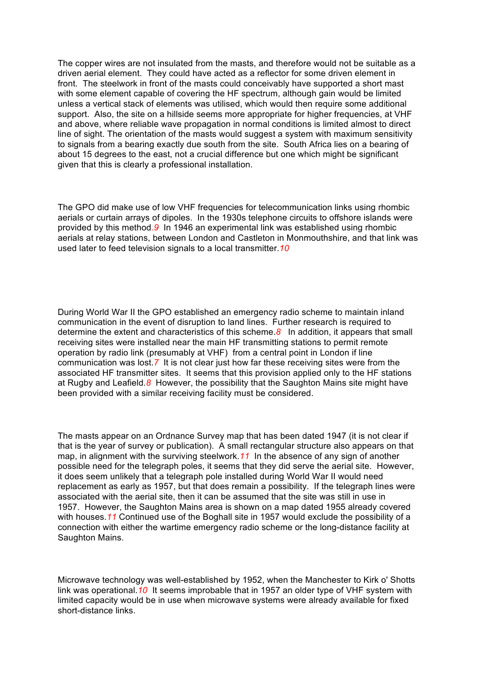The copper wires are not insulated from the masts, and therefore would not be suitable as a driven aerial element. They could have acted as a reflector for some driven element in front. The steelwork in front of the masts could conceivably have supported a short mast with some element capable of covering the HF spectrum, although gain would be limited unless a vertical stack of elements was utilised, which would then require some additional support. Also, the site on a hillside seems more appropriate for higher frequencies, at VHF and above, where reliable wave propagation in normal conditions is limited almost to direct line of sight. The orientation of the masts would suggest a system with maximum sensitivity to signals from a bearing exactly due south from the site. South Africa lies on a bearing of about 15 degrees to the east, not a crucial difference but one which might be significant given that this is clearly a professional installation.

The GPO did make use of low VHF frequencies for telecommunication links using rhombic aerials or curtain arrays of dipoles. In the 1930s telephone circuits to offshore islands were provided by this method*.9* In 1946 an experimental link was established using rhombic aerials at relay stations, between London and Castleton in Monmouthshire, and that link was used later to feed television signals to a local transmitter.*10*

During World War II the GPO established an emergency radio scheme to maintain inland communication in the event of disruption to land lines. Further research is required to determine the extent and characteristics of this scheme.*8* In addition, it appears that small receiving sites were installed near the main HF transmitting stations to permit remote operation by radio link (presumably at VHF) from a central point in London if line communication was lost.*7* It is not clear just how far these receiving sites were from the associated HF transmitter sites. It seems that this provision applied only to the HF stations at Rugby and Leafield.*8* However, the possibility that the Saughton Mains site might have been provided with a similar receiving facility must be considered.

The masts appear on an Ordnance Survey map that has been dated 1947 (it is not clear if that is the year of survey or publication). A small rectangular structure also appears on that map, in alignment with the surviving steelwork.*11* In the absence of any sign of another possible need for the telegraph poles, it seems that they did serve the aerial site. However, it does seem unlikely that a telegraph pole installed during World War II would need replacement as early as 1957, but that does remain a possibility. If the telegraph lines were associated with the aerial site, then it can be assumed that the site was still in use in 1957. However, the Saughton Mains area is shown on a map dated 1955 already covered with houses.*11* Continued use of the Boghall site in 1957 would exclude the possibility of a connection with either the wartime emergency radio scheme or the long-distance facility at Saughton Mains.

Microwave technology was well-established by 1952, when the Manchester to Kirk o' Shotts link was operational.*10* It seems improbable that in 1957 an older type of VHF system with limited capacity would be in use when microwave systems were already available for fixed short-distance links.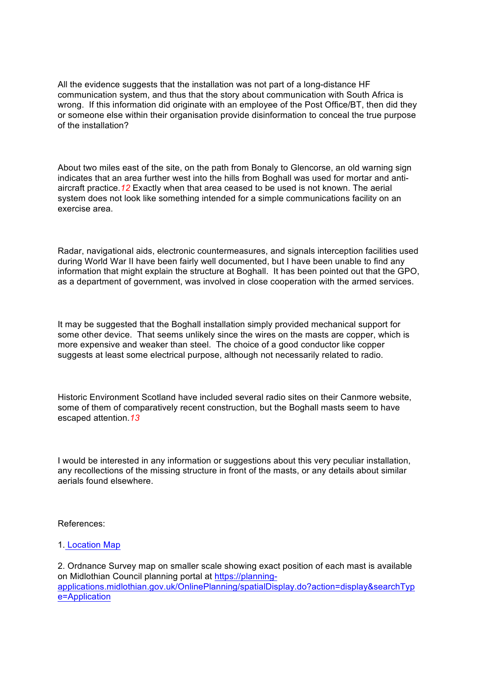All the evidence suggests that the installation was not part of a long-distance HF communication system, and thus that the story about communication with South Africa is wrong. If this information did originate with an employee of the Post Office/BT, then did they or someone else within their organisation provide disinformation to conceal the true purpose of the installation?

About two miles east of the site, on the path from Bonaly to Glencorse, an old warning sign indicates that an area further west into the hills from Boghall was used for mortar and antiaircraft practice.*12* Exactly when that area ceased to be used is not known. The aerial system does not look like something intended for a simple communications facility on an exercise area.

Radar, navigational aids, electronic countermeasures, and signals interception facilities used during World War II have been fairly well documented, but I have been unable to find any information that might explain the structure at Boghall. It has been pointed out that the GPO, as a department of government, was involved in close cooperation with the armed services.

It may be suggested that the Boghall installation simply provided mechanical support for some other device. That seems unlikely since the wires on the masts are copper, which is more expensive and weaker than steel. The choice of a good conductor like copper suggests at least some electrical purpose, although not necessarily related to radio.

Historic Environment Scotland have included several radio sites on their Canmore website, some of them of comparatively recent construction, but the Boghall masts seem to have escaped attention.*13*

I would be interested in any information or suggestions about this very peculiar installation, any recollections of the missing structure in front of the masts, or any details about similar aerials found elsewhere.

References:

## 1. Location Map

2. Ordnance Survey map on smaller scale showing exact position of each mast is available on Midlothian Council planning portal at https://planningapplications.midlothian.gov.uk/OnlinePlanning/spatialDisplay.do?action=display&searchTyp e=Application